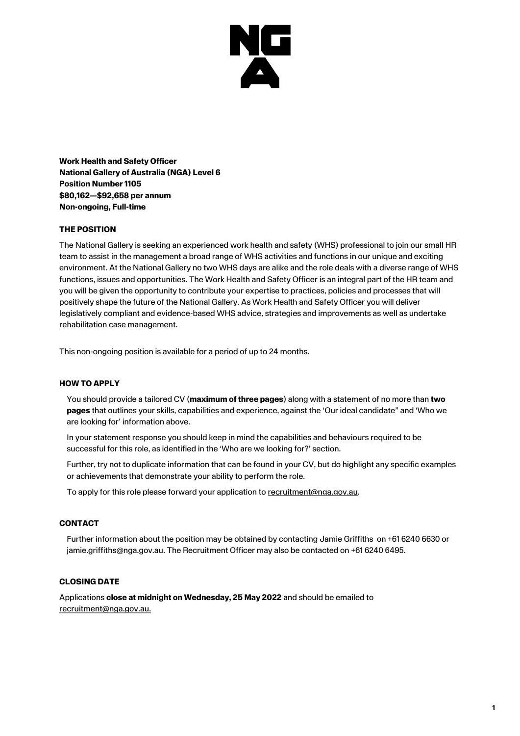

**Work Health and Safety Officer National Gallery of Australia (NGA) Level 6 Position Number 1105 \$80,162—\$92,658 per annum Non-ongoing, Full-time**

## **THE POSITION**

The National Gallery is seeking an experienced work health and safety (WHS) professional to join our small HR team to assist in the management a broad range of WHS activities and functions in our unique and exciting environment. At the National Gallery no two WHS days are alike and the role deals with a diverse range of WHS functions, issues and opportunities. The Work Health and Safety Officer is an integral part of the HR team and you will be given the opportunity to contribute your expertise to practices, policies and processes that will positively shape the future of the National Gallery. As Work Health and Safety Officer you will deliver legislatively compliant and evidence-based WHS advice, strategies and improvements as well as undertake rehabilitation case management.

This non-ongoing position is available for a period of up to 24 months.

## **HOW TO APPLY**

You should provide a tailored CV (**maximum of three pages**) along with a statement of no more than **two pages** that outlines your skills, capabilities and experience, against the 'Our ideal candidate" and 'Who we are looking for' information above.

In your statement response you should keep in mind the capabilities and behaviours required to be successful for this role, as identified in the 'Who are we looking for?' section.

Further, try not to duplicate information that can be found in your CV, but do highlight any specific examples or achievements that demonstrate your ability to perform the role.

To apply for this role please forward your application to [recruitment@nga.gov.au.](mailto:recruitment@nga.gov.au)

#### **CONTACT**

Further information about the position may be obtained by contacting Jamie Griffiths on +61 6240 6630 or jamie.griffiths@nga.gov.au. The Recruitment Officer may also be contacted on +61 6240 6495.

### **CLOSING DATE**

Applications **close at midnight on Wednesday, 25 May 2022** and should be emailed to [recruitment@nga.gov.au.](mailto:recruitment@nga.gov.au)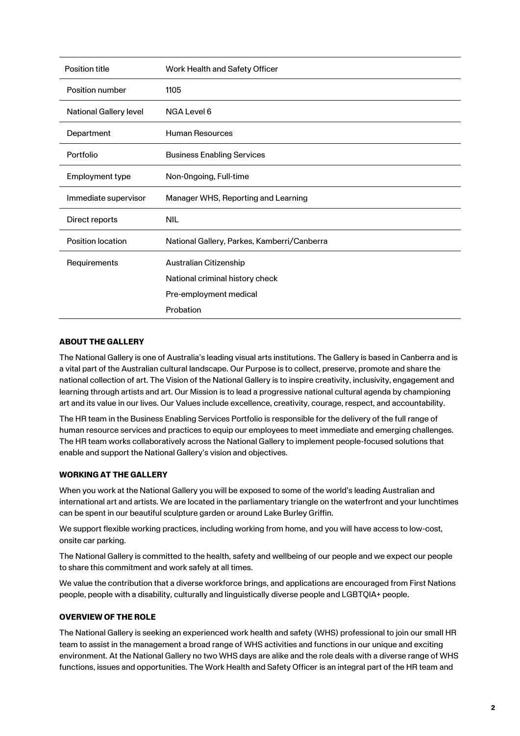| <b>Position title</b>         | Work Health and Safety Officer              |
|-------------------------------|---------------------------------------------|
| Position number               | 1105                                        |
| <b>National Gallery level</b> | NGA Level 6                                 |
| Department                    | <b>Human Resources</b>                      |
| Portfolio                     | <b>Business Enabling Services</b>           |
| Employment type               | Non-Ongoing, Full-time                      |
| Immediate supervisor          | Manager WHS, Reporting and Learning         |
| Direct reports                | <b>NIL</b>                                  |
| Position location             | National Gallery, Parkes, Kamberri/Canberra |
| Requirements                  | Australian Citizenship                      |
|                               | National criminal history check             |
|                               | Pre-employment medical                      |
|                               | Probation                                   |

## **ABOUT THE GALLERY**

The National Gallery is one of Australia's leading visual arts institutions. The Gallery is based in Canberra and is a vital part of the Australian cultural landscape. Our Purpose is to collect, preserve, promote and share the national collection of art. The Vision of the National Gallery is to inspire creativity, inclusivity, engagement and learning through artists and art. Our Mission is to lead a progressive national cultural agenda by championing art and its value in our lives. Our Values include excellence, creativity, courage, respect, and accountability.

The HR team in the Business Enabling Services Portfolio is responsible for the delivery of the full range of human resource services and practices to equip our employees to meet immediate and emerging challenges. The HR team works collaboratively across the National Gallery to implement people-focused solutions that enable and support the National Gallery's vision and objectives.

## **WORKING AT THE GALLERY**

When you work at the National Gallery you will be exposed to some of the world's leading Australian and international art and artists. We are located in the parliamentary triangle on the waterfront and your lunchtimes can be spent in our beautiful sculpture garden or around Lake Burley Griffin.

We support flexible working practices, including working from home, and you will have access to low-cost, onsite car parking.

The National Gallery is committed to the health, safety and wellbeing of our people and we expect our people to share this commitment and work safely at all times.

We value the contribution that a diverse workforce brings, and applications are encouraged from First Nations people, people with a disability, culturally and linguistically diverse people and LGBTQIA+ people.

# **OVERVIEW OF THE ROLE**

The National Gallery is seeking an experienced work health and safety (WHS) professional to join our small HR team to assist in the management a broad range of WHS activities and functions in our unique and exciting environment. At the National Gallery no two WHS days are alike and the role deals with a diverse range of WHS functions, issues and opportunities. The Work Health and Safety Officer is an integral part of the HR team and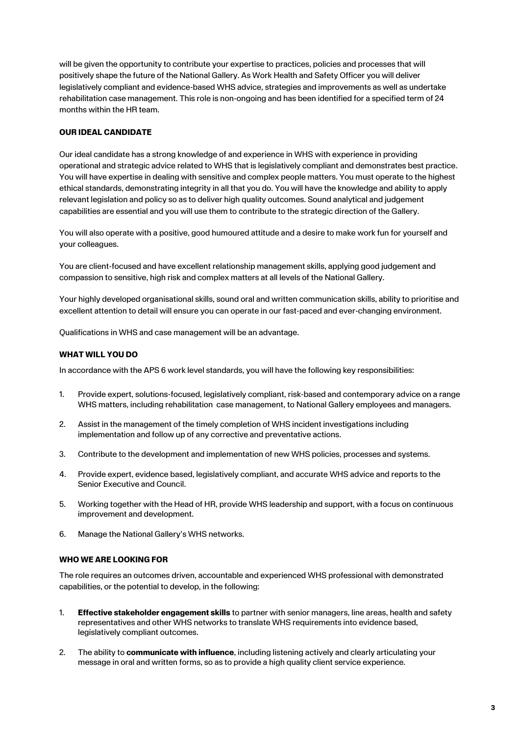will be given the opportunity to contribute your expertise to practices, policies and processes that will positively shape the future of the National Gallery. As Work Health and Safety Officer you will deliver legislatively compliant and evidence-based WHS advice, strategies and improvements as well as undertake rehabilitation case management. This role is non-ongoing and has been identified for a specified term of 24 months within the HR team.

# **OUR IDEAL CANDIDATE**

Our ideal candidate has a strong knowledge of and experience in WHS with experience in providing operational and strategic advice related to WHS that is legislatively compliant and demonstrates best practice. You will have expertise in dealing with sensitive and complex people matters. You must operate to the highest ethical standards, demonstrating integrity in all that you do. You will have the knowledge and ability to apply relevant legislation and policy so as to deliver high quality outcomes. Sound analytical and judgement capabilities are essential and you will use them to contribute to the strategic direction of the Gallery.

You will also operate with a positive, good humoured attitude and a desire to make work fun for yourself and your colleagues.

You are client-focused and have excellent relationship management skills, applying good judgement and compassion to sensitive, high risk and complex matters at all levels of the National Gallery.

Your highly developed organisational skills, sound oral and written communication skills, ability to prioritise and excellent attention to detail will ensure you can operate in our fast-paced and ever-changing environment.

Qualifications in WHS and case management will be an advantage.

## **WHAT WILL YOU DO**

In accordance with the APS 6 work level standards, you will have the following key responsibilities:

- 1. Provide expert, solutions-focused, legislatively compliant, risk-based and contemporary advice on a range WHS matters, including rehabilitation case management, to National Gallery employees and managers.
- 2. Assist in the management of the timely completion of WHS incident investigations including implementation and follow up of any corrective and preventative actions.
- 3. Contribute to the development and implementation of new WHS policies, processes and systems.
- 4. Provide expert, evidence based, legislatively compliant, and accurate WHS advice and reports to the Senior Executive and Council.
- 5. Working together with the Head of HR, provide WHS leadership and support, with a focus on continuous improvement and development.
- 6. Manage the National Gallery's WHS networks.

## **WHO WE ARE LOOKING FOR**

The role requires an outcomes driven, accountable and experienced WHS professional with demonstrated capabilities, or the potential to develop, in the following:

- 1. **Effective stakeholder engagement skills** to partner with senior managers, line areas, health and safety representatives and other WHS networks to translate WHS requirements into evidence based, legislatively compliant outcomes.
- 2. The ability to **communicate with influence**, including listening actively and clearly articulating your message in oral and written forms, so as to provide a high quality client service experience.